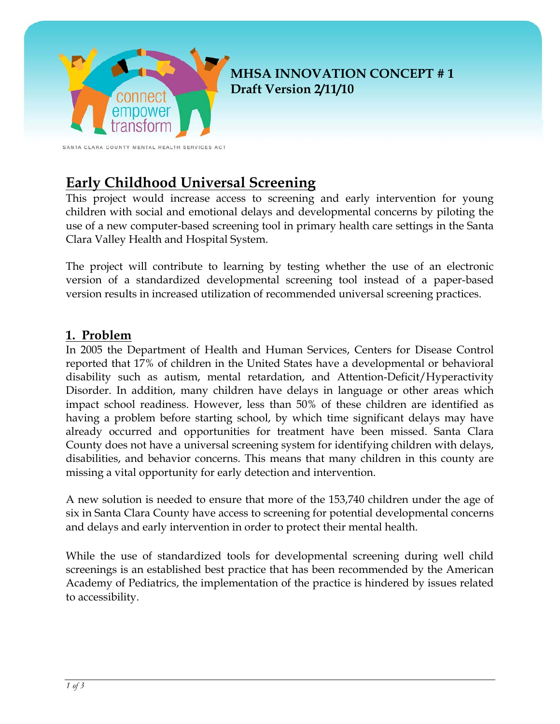

# **Early Childhood Universal Screening**

This project would increase access to screening and early intervention for young children with social and emotional delays and developmental concerns by piloting the use of a new computer-based screening tool in primary health care settings in the Santa Clara Valley Health and Hospital System.

The project will contribute to learning by testing whether the use of an electronic version of a standardized developmental screening tool instead of a paper-based version results in increased utilization of recommended universal screening practices.

#### **1. Problem**

In 2005 the Department of Health and Human Services, Centers for Disease Control reported that 17% of children in the United States have a developmental or behavioral disability such as autism, mental retardation, and Attention-Deficit/Hyperactivity Disorder. In addition, many children have delays in language or other areas which impact school readiness. However, less than 50% of these children are identified as having a problem before starting school, by which time significant delays may have already occurred and opportunities for treatment have been missed. Santa Clara County does not have a universal screening system for identifying children with delays, disabilities, and behavior concerns. This means that many children in this county are missing a vital opportunity for early detection and intervention.

A new solution is needed to ensure that more of the 153,740 children under the age of six in Santa Clara County have access to screening for potential developmental concerns and delays and early intervention in order to protect their mental health.

While the use of standardized tools for developmental screening during well child screenings is an established best practice that has been recommended by the American Academy of Pediatrics, the implementation of the practice is hindered by issues related to accessibility.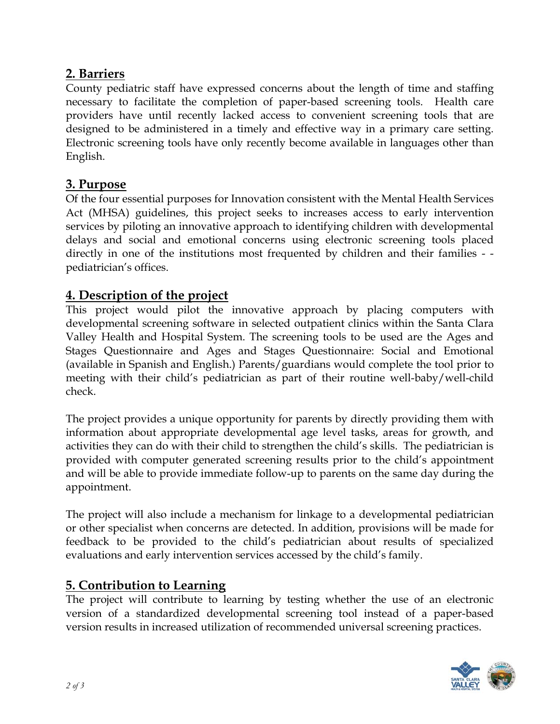# **2. Barriers**

County pediatric staff have expressed concerns about the length of time and staffing necessary to facilitate the completion of paper-based screening tools. Health care providers have until recently lacked access to convenient screening tools that are designed to be administered in a timely and effective way in a primary care setting. Electronic screening tools have only recently become available in languages other than English.

## **3. Purpose**

Of the four essential purposes for Innovation consistent with the Mental Health Services Act (MHSA) guidelines, this project seeks to increases access to early intervention services by piloting an innovative approach to identifying children with developmental delays and social and emotional concerns using electronic screening tools placed directly in one of the institutions most frequented by children and their families - pediatrician's offices.

## **4. Description of the project**

This project would pilot the innovative approach by placing computers with developmental screening software in selected outpatient clinics within the Santa Clara Valley Health and Hospital System. The screening tools to be used are the Ages and Stages Questionnaire and Ages and Stages Questionnaire: Social and Emotional (available in Spanish and English.) Parents/guardians would complete the tool prior to meeting with their child's pediatrician as part of their routine well-baby/well-child check.

The project provides a unique opportunity for parents by directly providing them with information about appropriate developmental age level tasks, areas for growth, and activities they can do with their child to strengthen the child's skills. The pediatrician is provided with computer generated screening results prior to the child's appointment and will be able to provide immediate follow-up to parents on the same day during the appointment.

The project will also include a mechanism for linkage to a developmental pediatrician or other specialist when concerns are detected. In addition, provisions will be made for feedback to be provided to the child's pediatrician about results of specialized evaluations and early intervention services accessed by the child's family.

## **5. Contribution to Learning**

The project will contribute to learning by testing whether the use of an electronic version of a standardized developmental screening tool instead of a paper-based version results in increased utilization of recommended universal screening practices.